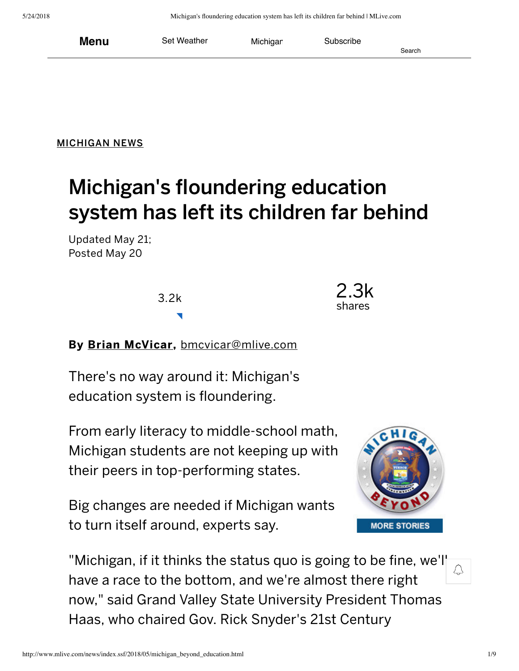[MICHIGAN](http://www.mlive.com/news/index.ssf/) NEWS

# Michigan's floundering education system has left its children far behind

Updated May 21; Posted May 20

3.2k



By Brian [McVicar](http://connect.mlive.com/staff/brianmcvicar/posts.html), [bmcvicar@mlive.com](mailto:bmcvicar@mlive.com)

There's no way around it: Michigan's education system is floundering.

From early literacy to middle‑school math, Michigan students are not keeping up with their peers in top‑performing states.

Big changes are needed if Michigan wants to turn itself around, experts say.



"Michigan, if it thinks the status quo is going to be fine, we'll have a race to the bottom, and we're almost there right now," said Grand Valley State University President Thomas Haas, who chaired Gov. Rick Snyder's 21st Century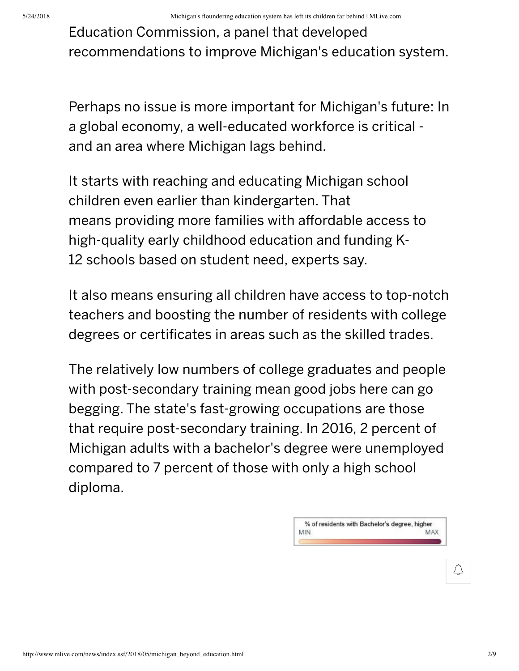Education Commission, a panel that developed recommendations to improve Michigan's education system.

Perhaps no issue is more important for Michigan's future: In a global economy, a well-educated workforce is critical and an area where Michigan lags behind.

It starts with reaching and educating Michigan school children even earlier than kindergarten. That means providing more families with affordable access to high-quality early childhood education and funding K-12 schools based on student need, experts say.

It also means ensuring all children have access to top-notch teachers and boosting the number of residents with college degrees or certificates in areas such as the skilled trades.

The relatively low numbers of college graduates and people with post-secondary training mean good jobs here can go begging. The state's fast‑growing occupations are those that require post‑secondary training. In 2016, 2 percent of Michigan adults with a bachelor's degree were unemployed compared to 7 percent of those with only a high school diploma.

> % of residents with Bachelor's degree, higher MIN MAX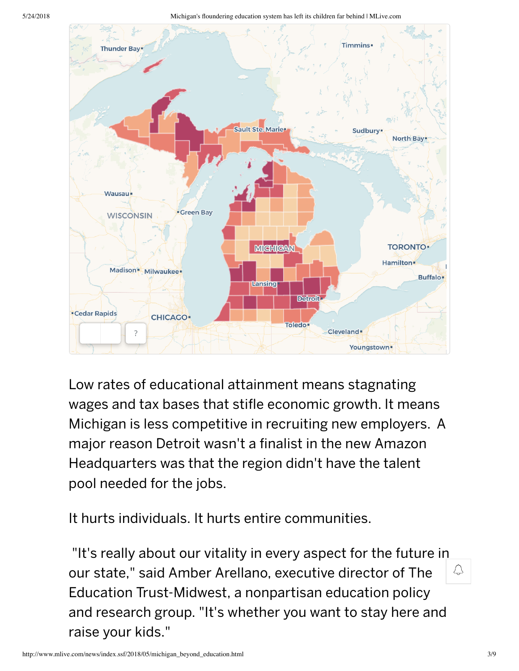5/24/2018 Michigan's floundering education system has left its children far behind | MLive.com



Low rates of educational attainment means stagnating wages and tax bases that stifle economic growth. It means Michigan is less competitive in recruiting new employers. A major reason Detroit wasn't a finalist in the new Amazon Headquarters was that the region didn't have the talent pool needed for the jobs.

It hurts individuals. It hurts entire communities.

"It's really about our vitality in every aspect for the future in our state," said Amber Arellano, executive director of The Education Trust‑Midwest, a nonpartisan education policy and research group. "It's whether you want to stay here and raise your kids."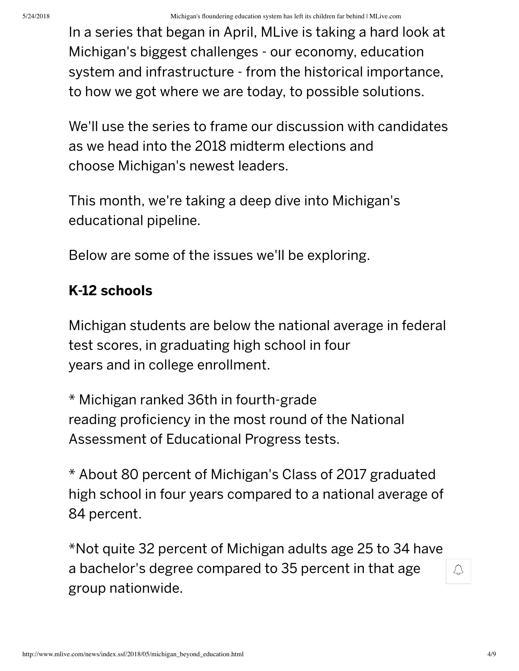In a series that began in April, MLive is taking a hard look at Michigan's biggest challenges ‑ our economy, education system and infrastructure ‑ from the historical importance, to how we got where we are today, to possible solutions.

We'll use the series to frame our discussion with candidates as we head into the 2018 midterm elections and choose Michigan's newest leaders.

This month, we're taking a deep dive into Michigan's educational pipeline.

Below are some of the issues we'll be exploring.

# K‑12 schools

Michigan students are below the national average in federal test scores, in graduating high school in four years and in college enrollment.

\* Michigan ranked 36th in fourth‑grade reading proficiency in the most round of the National Assessment of Educational Progress tests.

\* About 80 percent of Michigan's Class of 2017 graduated high school in four years compared to a national average of 84 percent.

\*Not quite 32 percent of Michigan adults age 25 to 34 have a bachelor's degree compared to 35 percent in that age group nationwide.

 $\downarrow$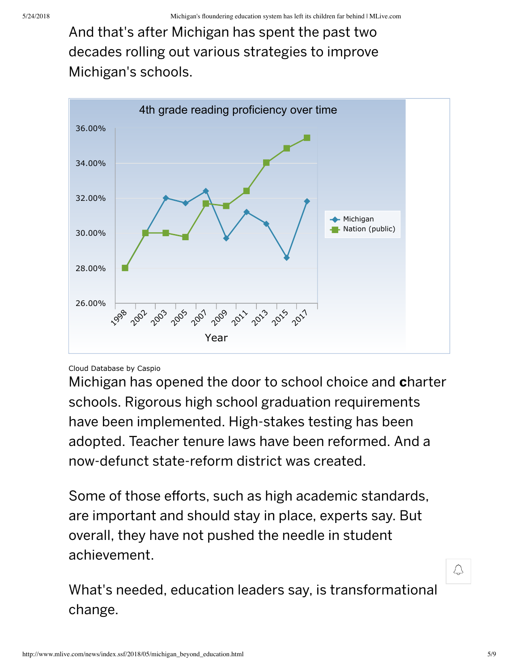And that's after Michigan has spent the past two decades rolling out various strategies to improve Michigan's schools.



#### [Cloud Database](https://www.caspio.com/) by Caspio

Michigan has opened the door to school choice and **c**harter schools. Rigorous high school graduation requirements have been implemented. High-stakes testing has been adopted. Teacher tenure laws have been reformed. And a now‑defunct state‑reform district was created.

Some of those efforts, such as high academic standards, are important and should stay in place, experts say. But overall, they have not pushed the needle in student achievement.

What's needed, education leaders say, is transformational change.

</u>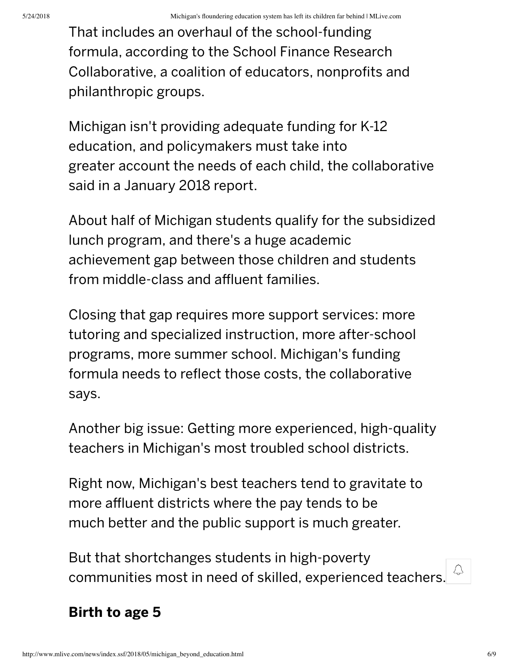That includes an overhaul of the school‑funding formula, according to the School Finance Research Collaborative, a coalition of educators, nonprofits and philanthropic groups.

Michigan isn't providing adequate funding for K‑12 education, and policymakers must take into greater account the needs of each child, the collaborative said in a January 2018 report.

About half of Michigan students qualify for the subsidized lunch program, and there's a huge academic achievement gap between those children and students from middle‑class and affluent families.

Closing that gap requires more support services: more tutoring and specialized instruction, more after‑school programs, more summer school. Michigan's funding formula needs to reflect those costs, the collaborative says.

Another big issue: Getting more experienced, high-quality teachers in Michigan's most troubled school districts.

Right now, Michigan's best teachers tend to gravitate to more affluent districts where the pay tends to be much better and the public support is much greater.

But that shortchanges students in high-poverty communities most in need of skilled, experienced teachers.

### Birth to age 5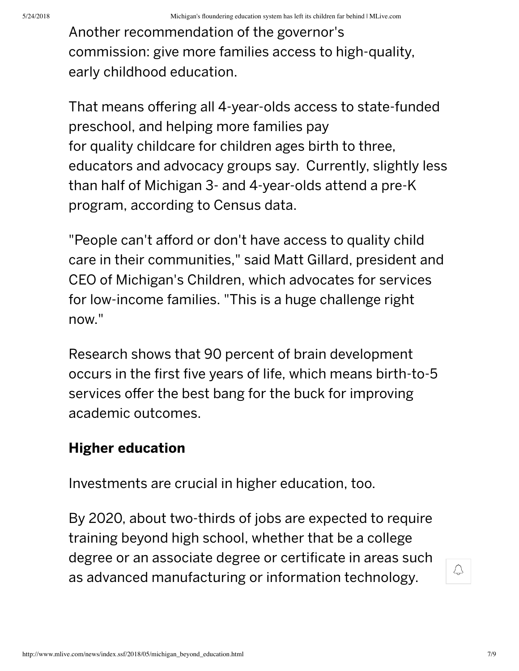Another recommendation of the governor's commission: give more families access to high-quality, early childhood education.

That means offering all 4‑year‑olds access to state‑funded preschool, and helping more families pay for quality childcare for children ages birth to three, educators and advocacy groups say. Currently, slightly less than half of Michigan 3‑ and 4‑year‑olds attend a pre‑K program, according to Census data.

"People can't afford or don't have access to quality child care in their communities," said Matt Gillard, president and CEO of Michigan's Children, which advocates for services for low-income families. "This is a huge challenge right now."

Research shows that 90 percent of brain development occurs in the first five years of life, which means birth-to-5 services offer the best bang for the buck for improving academic outcomes.

## Higher education

Investments are crucial in higher education, too.

By 2020, about two-thirds of jobs are expected to require training beyond high school, whether that be a college degree or an associate degree or certificate in areas such as advanced manufacturing or information technology.

 $\overline{\mathcal{C}}$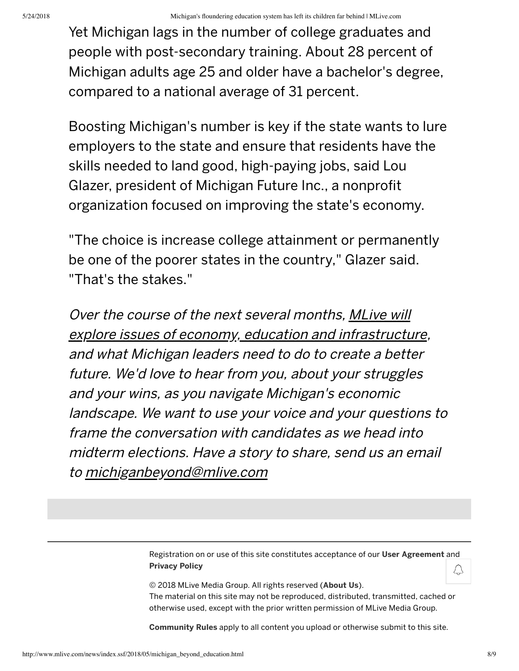Yet Michigan lags in the number of college graduates and people with post‑secondary training. About 28 percent of Michigan adults age 25 and older have a bachelor's degree, compared to a national average of 31 percent.

Boosting Michigan's number is key if the state wants to lure employers to the state and ensure that residents have the skills needed to land good, high‑paying jobs, said Lou Glazer, president of Michigan Future Inc., a nonprofit organization focused on improving the state's economy.

"The choice is increase college attainment or permanently be one of the poorer states in the country," Glazer said. "That's the stakes."

Over the course of the next several months, [MLive](https://topics.mlive.com/tag/michigan-beyond) will explore issues of economy, education and [infrastructure](https://topics.mlive.com/tag/michigan-beyond), and what Michigan leaders need to do to create <sup>a</sup> better future. We'd love to hear from you, about your struggles and your wins, as you navigate Michigan's economic landscape. We want to use your voice and your questions to frame the conversation with candidates as we head into midterm elections. Have <sup>a</sup> story to share, send us an email to [michiganbeyond@mlive.com](mailto:michiganbeyond@mlive.com)

> Registration on or use of this site constitutes acceptance of our User [Agreement](http://www.mlive.com/user-agreement/) and [Privacy](http://www.mlive.com/user-agreement/#privacy) Policy

© 2018 MLive Media Group. All rights reserved ([About](http://www.mlive.com/aboutus/) Us). The material on this site may not be reproduced, distributed, transmitted, cached or otherwise used, except with the prior written permission of MLive Media Group.

[Community](http://www.mlive.com/communityrules) Rules apply to all content you upload or otherwise submit to this site.